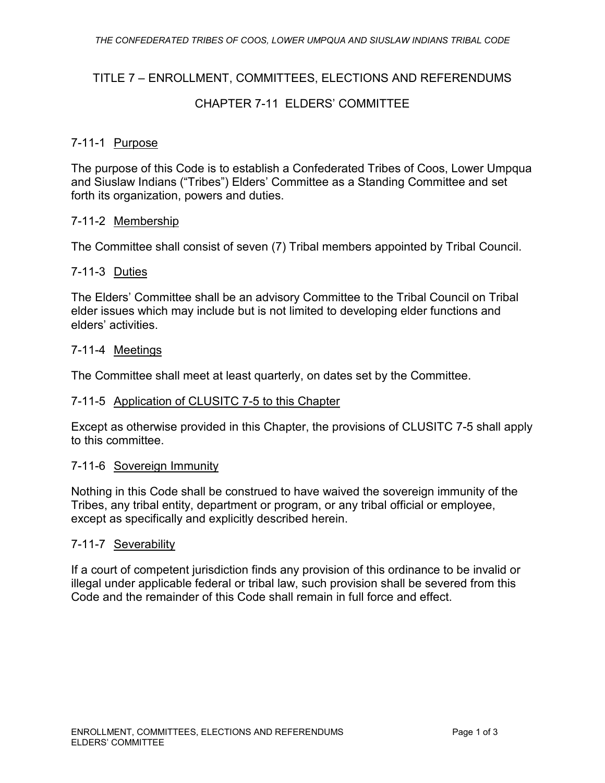## TITLE 7 – ENROLLMENT, COMMITTEES, ELECTIONS AND REFERENDUMS

## CHAPTER 7-11 ELDERS' COMMITTEE

### 7-11-1 Purpose

The purpose of this Code is to establish a Confederated Tribes of Coos, Lower Umpqua and Siuslaw Indians ("Tribes") Elders' Committee as a Standing Committee and set forth its organization, powers and duties.

#### 7-11-2 Membership

The Committee shall consist of seven (7) Tribal members appointed by Tribal Council.

#### 7-11-3 Duties

The Elders' Committee shall be an advisory Committee to the Tribal Council on Tribal elder issues which may include but is not limited to developing elder functions and elders' activities.

#### 7-11-4 Meetings

The Committee shall meet at least quarterly, on dates set by the Committee.

### 7-11-5 Application of CLUSITC 7-5 to this Chapter

Except as otherwise provided in this Chapter, the provisions of CLUSITC 7-5 shall apply to this committee.

#### 7-11-6 Sovereign Immunity

Nothing in this Code shall be construed to have waived the sovereign immunity of the Tribes, any tribal entity, department or program, or any tribal official or employee, except as specifically and explicitly described herein.

#### 7-11-7 Severability

If a court of competent jurisdiction finds any provision of this ordinance to be invalid or illegal under applicable federal or tribal law, such provision shall be severed from this Code and the remainder of this Code shall remain in full force and effect.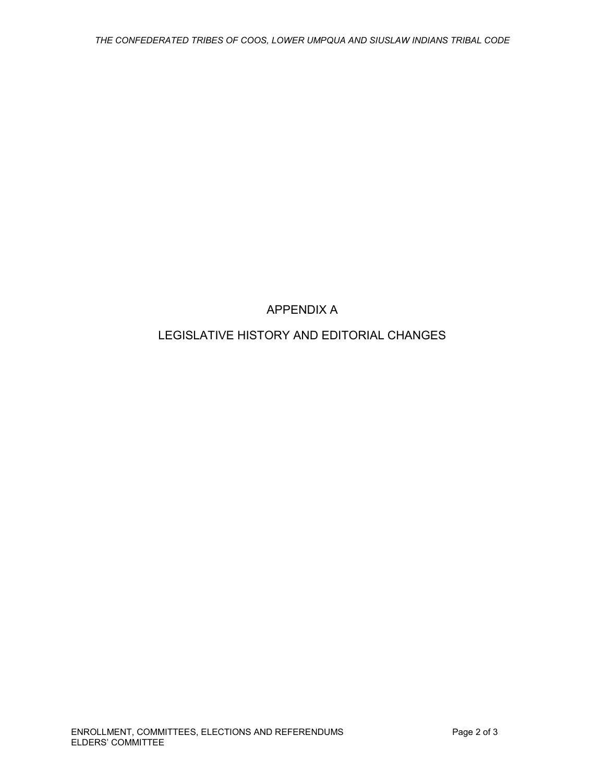# APPENDIX A

## LEGISLATIVE HISTORY AND EDITORIAL CHANGES